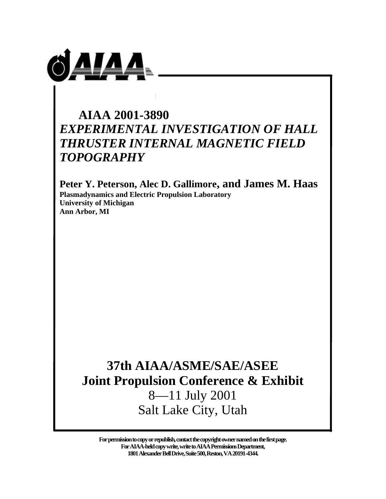

# **AIAA 2001-3890** *EXPERIMENTAL INVESTIGATION OF HALL THRUSTER INTERNAL MAGNETIC FIELD TOPOGRAPHY*

**Peter Y. Peterson, Alec D. Gallimore, and James M. Haas Plasmadynamics and Electric Propulsion Laboratory University of Michigan Ann Arbor, MI**

**37th AIAA/ASME/SAE/ASEE Joint Propulsion Conference & Exhibit** 8—11 July 2001 Salt Lake City, Utah

**For permission to copy or republish, contact the copyright owner named on the first page. For AIAA-held copy write, write to AIAA Permissions Department, 1801 Alexander Bell Drive, Suite 500, Reston, VA 20191-4344.**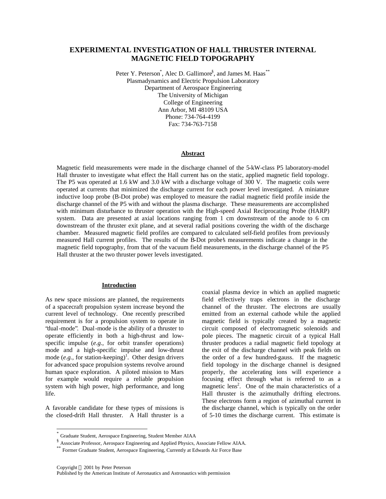## **EXPERIMENTAL INVESTIGATION OF HALL THRUSTER INTERNAL MAGNETIC FIELD TOPOGRAPHY**

Peter Y. Peterson<sup>\*</sup>, Alec D. Gallimore<sup>§</sup>, and James M. Haas<sup>\*\*</sup> Plasmadynamics and Electric Propulsion Laboratory Department of Aerospace Engineering The University of Michigan College of Engineering Ann Arbor, MI 48109 USA Phone: 734-764-4199 Fax: 734-763-7158

## **Abstract**

Magnetic field measurements were made in the discharge channel of the 5-kW-class P5 laboratory-model Hall thruster to investigate what effect the Hall current has on the static, applied magnetic field topology. The P5 was operated at 1.6 kW and 3.0 kW with a discharge voltage of 300 V. The magnetic coils were operated at currents that minimized the discharge current for each power level investigated. A miniature inductive loop probe (B-Dot probe) was employed to measure the radial magnetic field profile inside the discharge channel of the P5 with and without the plasma discharge. These measurements are accomplished with minimum disturbance to thruster operation with the High-speed Axial Reciprocating Probe (HARP) system. Data are presented at axial locations ranging from 1 cm downstream of the anode to 6 cm downstream of the thruster exit plane, and at several radial positions covering the width of the discharge chamber. Measured magnetic field profiles are compared to calculated self-field profiles from previously measured Hall current profiles. The results of the B-Dot probe's measurements indicate a change in the magnetic field topography, from that of the vacuum field measurements, in the discharge channel of the P5 Hall thruster at the two thruster power levels investigated.

## **Introduction**

As new space missions are planned, the requirements of a spacecraft propulsion system increase beyond the current level of technology. One recently prescribed requirement is for a propulsion system to operate in "dual-mode". Dual-mode is the ability of a thruster to operate efficiently in both a high-thrust and lowspecific impulse (*e.g.,* for orbit transfer operations) mode and a high-specific impulse and low-thrust mode  $(e.g.,$  for station-keeping)<sup>1</sup>. Other design drivers for advanced space propulsion systems revolve around human space exploration. A piloted mission to Mars for example would require a reliable propulsion system with high power, high performance, and long life.

A favorable candidate for these types of missions is the closed-drift Hall thruster. A Hall thruster is a

coaxial plasma device in which an applied magnetic field effectively traps electrons in the discharge channel of the thruster. The electrons are usually emitted from an external cathode while the applied magnetic field is typically created by a magnetic circuit composed of electromagnetic solenoids and pole pieces. The magnetic circuit of a typical Hall thruster produces a radial magnetic field topology at the exit of the discharge channel with peak fields on the order of a few hundred-gauss. If the magnetic field topology in the discharge channel is designed properly, the accelerating ions will experience a focusing effect through what is referred to as a magnetic lens<sup>2</sup>. One of the main characteristics of a Hall thruster is the azimuthally drifting electrons. These electrons form a region of azimuthal current in the discharge channel, which is typically on the order of 5-10 times the discharge current. This estimate is

<sup>\*</sup> Graduate Student, Aerospace Engineering, Student Member AIAA

<sup>§</sup> Associate Professor, Aerospace Engineering and Applied Physics, Associate Fellow AIAA.

<sup>\*\*</sup> Former Graduate Student, Aerospace Engineering, Currently at Edwards Air Force Base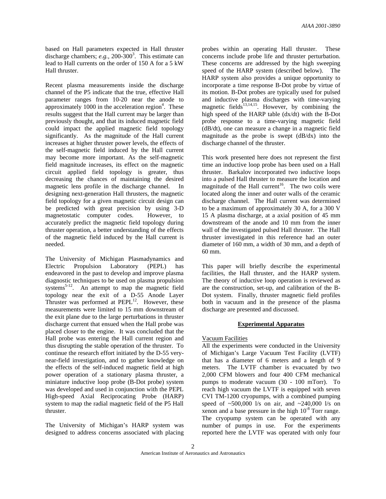based on Hall parameters expected in Hall thruster discharge chambers; *e.g.*, 200-300<sup>3</sup>. This estimate can lead to Hall currents on the order of 150 A for a 5 kW Hall thruster.

Recent plasma measurements inside the discharge channel of the P5 indicate that the true, effective Hall parameter ranges from 10-20 near the anode to approximately  $1000$  in the acceleration region<sup>4</sup>. These results suggest that the Hall current may be larger than previously thought, and that its induced magnetic field could impact the applied magnetic field topology significantly. As the magnitude of the Hall current increases at higher thruster power levels, the effects of the self-magnetic field induced by the Hall current may become more important. As the self-magnetic field magnitude increases, its effect on the magnetic circuit applied field topology is greater, thus decreasing the chances of maintaining the desired magnetic lens profile in the discharge channel. In designing next-generation Hall thrusters, the magnetic field topology for a given magnetic circuit design can be predicted with great precision by using 3-D magnetostatic computer codes. However, to accurately predict the magnetic field topology during thruster operation, a better understanding of the effects of the magnetic field induced by the Hall current is needed.

The University of Michigan Plasmadynamics and Electric Propulsion Laboratory (PEPL) has endeavored in the past to develop and improve plasma diagnostic techniques to be used on plasma propulsion systems<sup>5-12</sup>. An attempt to map the magnetic field topology near the exit of a D-55 Anode Layer Thruster was performed at  $PEPL^{12}$ . However, these measurements were limited to 15 mm downstream of the exit plane due to the large perturbations in thruster discharge current that ensued when the Hall probe was placed closer to the engine. It was concluded that the Hall probe was entering the Hall current region and thus disrupting the stable operation of the thruster. To continue the research effort initiated by the D-55 verynear-field investigation, and to gather knowledge on the effects of the self-induced magnetic field at high power operation of a stationary plasma thruster, a miniature inductive loop probe (B-Dot probe) system was developed and used in conjunction with the PEPL High-speed Axial Reciprocating Probe (HARP) system to map the radial magnetic field of the P5 Hall thruster.

The University of Michigan's HARP system was designed to address concerns associated with placing

probes within an operating Hall thruster. These concerns include probe life and thruster perturbation. These concerns are addressed by the high sweeping speed of the HARP system (described below). The HARP system also provides a unique opportunity to incorporate a time response B-Dot probe by virtue of its motion. B-Dot probes are typically used for pulsed and inductive plasma discharges with time-varying magnetic fields $^{13,14,15}$ . However, by combining the high speed of the HARP table (dx/dt) with the B-Dot probe response to a time-varying magnetic field (dB/dt), one can measure a change in a magnetic field magnitude as the probe is swept (dB/dx) into the discharge channel of the thruster.

This work presented here does not represent the first time an inductive loop probe has been used on a Hall thruster. Barkalov incorporated two inductive loops into a pulsed Hall thruster to measure the location and magnitude of the Hall current<sup>16</sup>. The two coils were located along the inner and outer walls of the ceramic discharge channel. The Hall current was determined to be a maximum of approximately 30 A, for a 300 V 15 A plasma discharge, at a axial position of 45 mm downstream of the anode and 10 mm from the inner wall of the investigated pulsed Hall thruster. The Hall thruster investigated in this reference had an outer diameter of 160 mm, a width of 30 mm, and a depth of 60 mm.

This paper will briefly describe the experimental facilities, the Hall thruster, and the HARP system. The theory of inductive loop operation is reviewed as are the construction, set-up, and calibration of the B-Dot system. Finally, thruster magnetic field profiles both in vacuum and in the presence of the plasma discharge are presented and discussed.

## **Experimental Apparatus**

#### Vacuum Facilities

All the experiments were conducted in the University of Michigan's Large Vacuum Test Facility (LVTF) that has a diameter of 6 meters and a length of 9 meters. The LVTF chamber is evacuated by two 2,000 CFM blowers and four 400 CFM mechanical pumps to moderate vacuum (30 - 100 mTorr). To reach high vacuum the LVTF is equipped with seven CVI TM-1200 cryopumps, with a combined pumping speed of  $\sim 500,000$  l/s on air, and  $\sim 240,000$  l/s on xenon and a base pressure in the high  $10^{-8}$  Torr range. The cryopump system can be operated with any number of pumps in use. For the experiments reported here the LVTF was operated with only four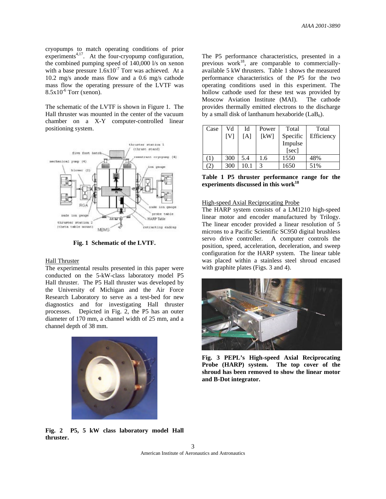cryopumps to match operating conditions of prior experiments<sup> $4,17$ </sup>. At the four-cryopump configuration, the combined pumping speed of 140,000 l/s on xenon with a base pressure  $1.6x10^{-7}$  Torr was achieved. At a 10.2 mg/s anode mass flow and a 0.6 mg/s cathode mass flow the operating pressure of the LVTF was  $8.5x10^{-6}$  Torr (xenon).

The schematic of the LVTF is shown in Figure 1. The Hall thruster was mounted in the center of the vacuum chamber on a X-Y computer-controlled linear positioning system.



**Fig. 1 Schematic of the LVTF.**

## Hall Thruster

The experimental results presented in this paper were conducted on the 5-kW-class laboratory model P5 Hall thruster. The P5 Hall thruster was developed by the University of Michigan and the Air Force Research Laboratory to serve as a test-bed for new diagnostics and for investigating Hall thruster processes. Depicted in Fig. 2, the P5 has an outer diameter of 170 mm, a channel width of 25 mm, and a channel depth of 38 mm.



The P5 performance characteristics, presented in a previous work $^{18}$ , are comparable to commerciallyavailable 5 kW thrusters. Table 1 shows the measured performance characteristics of the P5 for the two operating conditions used in this experiment. The hollow cathode used for these test was provided by Moscow Aviation Institute (MAI). The cathode provides thermally emitted electrons to the discharge by a small disk of lanthanum hexaboride  $(LaB<sub>6</sub>)$ .

| Case | Vd  | Id   | Power | Total    | Total      |
|------|-----|------|-------|----------|------------|
|      | VI  | [A]  | [kW]  | Specific | Efficiency |
|      |     |      |       | Impulse  |            |
|      |     |      |       | [sec]    |            |
|      | 300 | 5.4  | 1.6   | 1550     | 48%        |
| 2    | 300 | 10.1 | 3     | 1650     | 51%        |

**Table 1 P5 thruster performance range for the experiments discussed in this work<sup>18</sup>**

#### High-speed Axial Reciprocating Probe

The HARP system consists of a LM1210 high-speed linear motor and encoder manufactured by Trilogy. The linear encoder provided a linear resolution of 5 microns to a Pacific Scientific SC950 digital brushless servo drive controller. A computer controls the position, speed, acceleration, deceleration, and sweep configuration for the HARP system. The linear table was placed within a stainless steel shroud encased with graphite plates (Figs. 3 and 4).



**Fig. 3 PEPL's High-speed Axial Reciprocating Probe (HARP) system. The top cover of the shroud has been removed to show the linear motor and B-Dot integrator.**

**Fig. 2 P5, 5 kW class laboratory model Hall thruster.**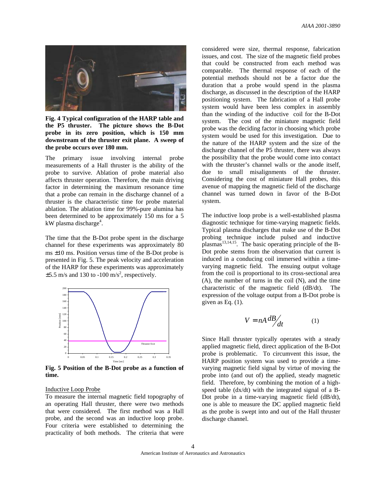

**Fig. 4 Typical configuration of the HARP table and the P5 thruster. The picture shows the B-Dot probe in its zero position, which is 150 mm downstream of the thruster exit plane. A sweep of the probe occurs over 180 mm.**

The primary issue involving internal probe measurements of a Hall thruster is the ability of the probe to survive. Ablation of probe material also affects thruster operation. Therefore, the main driving factor in determining the maximum resonance time that a probe can remain in the discharge channel of a thruster is the characteristic time for probe material ablation. The ablation time for 99%-pure alumina has been determined to be approximately 150 ms for a 5 kW plasma discharge<sup>4</sup>.

The time that the B-Dot probe spent in the discharge channel for these experiments was approximately 80 ms ±10 ms. Position versus time of the B-Dot probe is presented in Fig. 5. The peak velocity and acceleration of the HARP for these experiments was approximately  $\pm$ 5.5 m/s and 130 to -100 m/s<sup>2</sup>, respectively.



**Fig. 5 Position of the B-Dot probe as a function of time.**

#### Inductive Loop Probe

To measure the internal magnetic field topography of an operating Hall thruster, there were two methods that were considered. The first method was a Hall probe, and the second was an inductive loop probe. Four criteria were established to determining the practicality of both methods. The criteria that were

considered were size, thermal response, fabrication issues, and cost. The size of the magnetic field probes that could be constructed from each method was comparable. The thermal response of each of the potential methods should not be a factor due the duration that a probe would spend in the plasma discharge, as discussed in the description of the HARP positioning system. The fabrication of a Hall probe system would have been less complex in assembly than the winding of the inductive coil for the B-Dot system. The cost of the miniature magnetic field probe was the deciding factor in choosing which probe system would be used for this investigation. Due to the nature of the HARP system and the size of the discharge channel of the P5 thruster, there was always the possibility that the probe would come into contact with the thruster's channel walls or the anode itself. due to small misalignments of the thruster. Considering the cost of miniature Hall probes, this avenue of mapping the magnetic field of the discharge channel was turned down in favor of the B-Dot system.

The inductive loop probe is a well-established plasma diagnostic technique for time-varying magnetic fields. Typical plasma discharges that make use of the B-Dot probing technique include pulsed and inductive plasmas $^{13,14,15}$ . The basic operating principle of the B-Dot probe stems from the observation that current is induced in a conducing coil immersed within a timevarying magnetic field. The ensuing output voltage from the coil is proportional to its cross-sectional area (A), the number of turns in the coil (N), and the time characteristic of the magnetic field (dB/dt). The expression of the voltage output from a B-Dot probe is given as Eq.  $(1)$ .

$$
V = nA \frac{dB}{dt} \tag{1}
$$

Since Hall thruster typically operates with a steady applied magnetic field, direct application of the B-Dot probe is problematic. To circumvent this issue, the HARP position system was used to provide a timevarying magnetic field signal by virtue of moving the probe into (and out of) the applied, steady magnetic field. Therefore, by combining the motion of a highspeed table (dx/dt) with the integrated signal of a B-Dot probe in a time-varying magnetic field (dB/dt), one is able to measure the DC applied magnetic field as the probe is swept into and out of the Hall thruster discharge channel.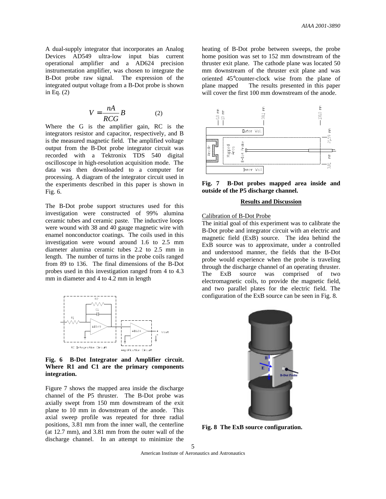A dual-supply integrator that incorporates an Analog Devices AD549 ultra-low input bias current operational amplifier and a AD624 precision instrumentation amplifier, was chosen to integrate the B-Dot probe raw signal. The expression of the integrated output voltage from a B-Dot probe is shown in Eq. (2)

$$
V = \frac{nA}{RCG}B\tag{2}
$$

Where the G is the amplifier gain, RC is the integrators resistor and capacitor, respectively, and B is the measured magnetic field. The amplified voltage output from the B-Dot probe integrator circuit was recorded with a Tektronix TDS 540 digital oscilloscope in high-resolution acquisition mode. The data was then downloaded to a computer for processing. A diagram of the integrator circuit used in the experiments described in this paper is shown in Fig. 6.

The B-Dot probe support structures used for this investigation were constructed of 99% alumina ceramic tubes and ceramic paste. The inductive loops were wound with 38 and 40 gauge magnetic wire with enamel nonconductor coatings. The coils used in this investigation were wound around 1.6 to 2.5 mm diameter alumina ceramic tubes 2.2 to 2.5 mm in length. The number of turns in the probe coils ranged from 89 to 136. The final dimensions of the B-Dot probes used in this investigation ranged from 4 to 4.3 mm in diameter and 4 to 4.2 mm in length



**Fig. 6 B-Dot Integrator and Amplifier circuit. Where R1 and C1 are the primary components integration.**

Figure 7 shows the mapped area inside the discharge channel of the P5 thruster. The B-Dot probe was axially swept from 150 mm downstream of the exit plane to 10 mm in downstream of the anode. This axial sweep profile was repeated for three radial positions, 3.81 mm from the inner wall, the centerline (at 12.7 mm), and 3.81 mm from the outer wall of the discharge channel. In an attempt to minimize the

heating of B-Dot probe between sweeps, the probe home position was set to 152 mm downstream of the thruster exit plane. The cathode plane was located 50 mm downstream of the thruster exit plane and was oriented 45°counter-clock wise from the plane of plane mapped The results presented in this paper will cover the first 100 mm downstream of the anode.



**Fig. 7 B-Dot probes mapped area inside and outside of the P5 discharge channel.**

## **Results and Discussion**

#### Calibration of B-Dot Probe

The initial goal of this experiment was to calibrate the B-Dot probe and integrator circuit with an electric and magnetic field (ExB) source. The idea behind the ExB source was to approximate, under a controlled and understood manner, the fields that the B-Dot probe would experience when the probe is traveling through the discharge channel of an operating thruster. The ExB source was comprised of two electromagnetic coils, to provide the magnetic field, and two parallel plates for the electric field. The configuration of the ExB source can be seen in Fig. 8.



**Fig. 8 The ExB source configuration.**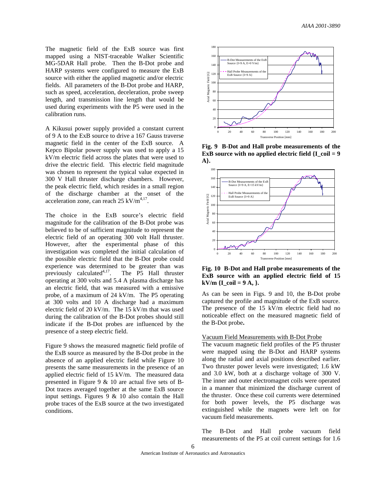The magnetic field of the ExB source was first mapped using a NIST-traceable Walker Scientific MG-5DAR Hall probe. Then the B-Dot probe and HARP systems were configured to measure the ExB source with either the applied magnetic and/or electric fields. All parameters of the B-Dot probe and HARP, such as speed, acceleration, deceleration, probe sweep length, and transmission line length that would be used during experiments with the P5 were used in the calibration runs.

A Kikusui power supply provided a constant current of 9 A to the ExB source to drive a 167 Gauss traverse magnetic field in the center of the ExB source. A Kepco Bipolar power supply was used to apply a 15 kV/m electric field across the plates that were used to drive the electric field. This electric field magnitude was chosen to represent the typical value expected in 300 V Hall thruster discharge chambers. However, the peak electric field, which resides in a small region of the discharge chamber at the onset of the acceleration zone, can reach  $25 \text{ kV/m}^{4,17}$ .

The choice in the ExB source's electric field magnitude for the calibration of the B-Dot probe was believed to be of sufficient magnitude to represent the electric field of an operating 300 volt Hall thruster. However, after the experimental phase of this investigation was completed the initial calculation of the possible electric field that the B-Dot probe could experience was determined to be greater than was previously calculated<sup>4,17</sup>. The P5 Hall thruster operating at 300 volts and 5.4 A plasma discharge has an electric field, that was measured with a emissive probe, of a maximum of 24 kV/m. The P5 operating at 300 volts and 10 A discharge had a maximum electric field of 20 kV/m. The 15 kV/m that was used during the calibration of the B-Dot probes should still indicate if the B-Dot probes are influenced by the presence of a steep electric field.

Figure 9 shows the measured magnetic field profile of the ExB source as measured by the B-Dot probe in the absence of an applied electric field while Figure 10 presents the same measurements in the presence of an applied electric field of 15 kV/m. The measured data presented in Figure 9 & 10 are actual five sets of B-Dot traces averaged together at the same ExB source input settings. Figures 9 & 10 also contain the Hall probe traces of the ExB source at the two investigated conditions.



**Fig. 9 B-Dot and Hall probe measurements of the ExB source with no applied electric field {I\_coil = 9 A}.**



**Fig. 10 B-Dot and Hall probe measurements of the ExB source with an applied electric field of 15**  $kV/m \{I\ \text{coil} = 9 \text{ A}, \}.$ 

As can be seen in Figs. 9 and 10, the B-Dot probe captured the profile and magnitude of the ExB source. The presence of the 15 kV/m electric field had no noticeable effect on the measured magnetic field of the B-Dot probe**.**

#### Vacuum Field Measurements with B-Dot Probe

The vacuum magnetic field profiles of the P5 thruster were mapped using the B-Dot and HARP systems along the radial and axial positions described earlier. Two thruster power levels were investigated; 1.6 kW and 3.0 kW, both at a discharge voltage of 300 V. The inner and outer electromagnet coils were operated in a manner that minimized the discharge current of the thruster. Once these coil currents were determined for both power levels, the P5 discharge was extinguished while the magnets were left on for vacuum field measurements.

The B-Dot and Hall probe vacuum field measurements of the P5 at coil current settings for 1.6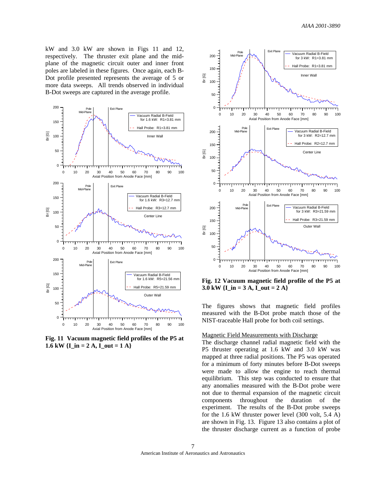kW and 3.0 kW are shown in Figs 11 and 12, respectively. The thruster exit plane and the midplane of the magnetic circuit outer and inner front poles are labeled in these figures. Once again, each B-Dot profile presented represents the average of 5 or more data sweeps. All trends observed in individual B-Dot sweeps are captured in the average profile.



**Fig. 11 Vacuum magnetic field profiles of the P5 at 1.6 kW {I\_in = 2 A, I\_out = 1 A}**



**Fig. 12 Vacuum magnetic field profile of the P5 at 3.0 kW {I\_in = 3 A, I\_out = 2 A}**

The figures shows that magnetic field profiles measured with the B-Dot probe match those of the NIST-traceable Hall probe for both coil settings.

#### Magnetic Field Measurements with Discharge

The discharge channel radial magnetic field with the P5 thruster operating at 1.6 kW and 3.0 kW was mapped at three radial positions. The P5 was operated for a minimum of forty minutes before B-Dot sweeps were made to allow the engine to reach thermal equilibrium. This step was conducted to ensure that any anomalies measured with the B-Dot probe were not due to thermal expansion of the magnetic circuit components throughout the duration of the experiment. The results of the B-Dot probe sweeps for the 1.6 kW thruster power level (300 volt, 5.4 A) are shown in Fig. 13. Figure 13 also contains a plot of the thruster discharge current as a function of probe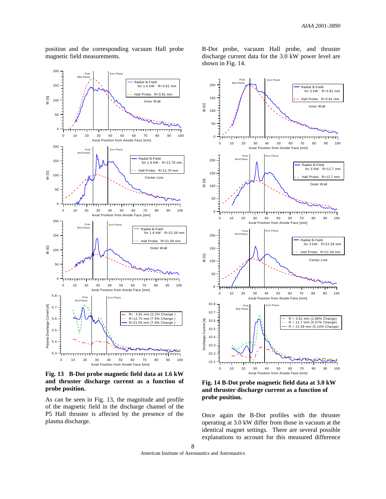position and the corresponding vacuum Hall probe magnetic field measurements.



**Fig. 13 B-Dot probe magnetic field data at 1.6 kW and thruster discharge current as a function of probe position.**

As can be seen in Fig. 13, the magnitude and profile of the magnetic field in the discharge channel of the P5 Hall thruster is affected by the presence of the plasma discharge.

B-Dot probe, vacuum Hall probe, and thruster discharge current data for the 3.0 kW power level are shown in Fig. 14.



**Fig. 14 B-Dot probe magnetic field data at 3.0 kW and thruster discharge current as a function of probe position.**

Once again the B-Dot profiles with the thruster operating at 3.0 kW differ from those in vacuum at the identical magnet settings. There are several possible explanations to account for this measured difference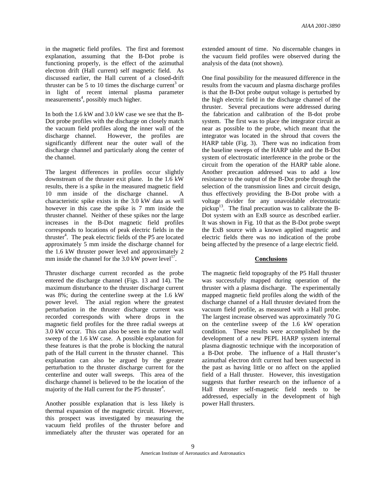in the magnetic field profiles. The first and foremost explanation, assuming that the B-Dot probe is functioning properly, is the effect of the azimuthal electron drift (Hall current) self magnetic field. As discussed earlier, the Hall current of a closed-drift thruster can be 5 to 10 times the discharge current<sup>3</sup> or in light of recent internal plasma parameter measurements<sup>4</sup>, possibly much higher.

In both the 1.6 kW and 3.0 kW case we see that the B-Dot probe profiles with the discharge on closely match the vacuum field profiles along the inner wall of the discharge channel. However, the profiles are significantly different near the outer wall of the discharge channel and particularly along the center of the channel.

The largest differences in profiles occur slightly downstream of the thruster exit plane. In the 1.6 kW results, there is a spike in the measured magnetic field 10 mm inside of the discharge channel. A characteristic spike exists in the 3.0 kW data as well however in this case the spike is 7 mm inside the thruster channel. Neither of these spikes nor the large increases in the B-Dot magnetic field profiles corresponds to locations of peak electric fields in the thruster<sup>4</sup>. The peak electric fields of the P5 are located approximately 5 mm inside the discharge channel for the 1.6 kW thruster power level and approximately 2 mm inside the channel for the  $3.0 \text{ kW}$  power level<sup>17</sup>.

Thruster discharge current recorded as the probe entered the discharge channel (Figs. 13 and 14). The maximum disturbance to the thruster discharge current was 8%; during the centerline sweep at the 1.6 kW power level. The axial region where the greatest perturbation in the thruster discharge current was recorded corresponds with where drops in the magnetic field profiles for the three radial sweeps at 3.0 kW occur. This can also be seen in the outer wall sweep of the 1.6 kW case. A possible explanation for these features is that the probe is blocking the natural path of the Hall current in the thruster channel. This explanation can also be argued by the greater perturbation to the thruster discharge current for the centerline and outer wall sweeps. This area of the discharge channel is believed to be the location of the majority of the Hall current for the P5 thruster $4$ .

Another possible explanation that is less likely is thermal expansion of the magnetic circuit. However, this prospect was investigated by measuring the vacuum field profiles of the thruster before and immediately after the thruster was operated for an

extended amount of time. No discernable changes in the vacuum field profiles were observed during the analysis of the data (not shown).

One final possibility for the measured difference in the results from the vacuum and plasma discharge profiles is that the B-Dot probe output voltage is perturbed by the high electric field in the discharge channel of the thruster. Several precautions were addressed during the fabrication and calibration of the B-dot probe system. The first was to place the integrator circuit as near as possible to the probe, which meant that the integrator was located in the shroud that covers the HARP table (Fig. 3). There was no indication from the baseline sweeps of the HARP table and the B-Dot system of electrostatic interference in the probe or the circuit from the operation of the HARP table alone. Another precaution addressed was to add a low resistance to the output of the B-Dot probe through the selection of the transmission lines and circuit design, thus effectively providing the B-Dot probe with a voltage divider for any unavoidable electrostatic pickup<sup>13</sup>. The final precaution was to calibrate the B-Dot system with an ExB source as described earlier. It was shown in Fig. 10 that as the B-Dot probe swept the ExB source with a known applied magnetic and electric fields there was no indication of the probe being affected by the presence of a large electric field.

## **Conclusions**

The magnetic field topography of the P5 Hall thruster was successfully mapped during operation of the thruster with a plasma discharge. The experimentally mapped magnetic field profiles along the width of the discharge channel of a Hall thruster deviated from the vacuum field profile, as measured with a Hall probe. The largest increase observed was approximately 70 G on the centerline sweep of the 1.6 kW operation condition. These results were accomplished by the development of a new PEPL HARP system internal plasma diagnostic technique with the incorporation of a B-Dot probe. The influence of a Hall thruster's azimuthal electron drift current had been suspected in the past as having little or no affect on the applied field of a Hall thruster. However, this investigation suggests that further research on the influence of a Hall thruster self-magnetic field needs to be addressed, especially in the development of high power Hall thrusters.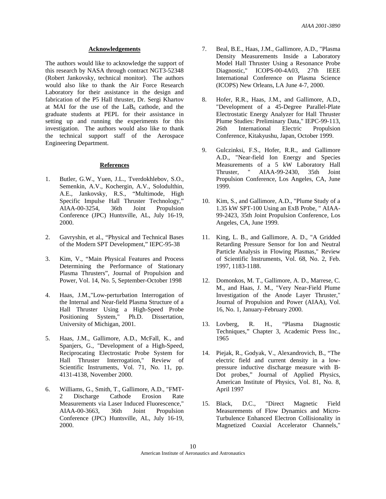## **Acknowledgements**

The authors would like to acknowledge the support of this research by NASA through contract NGT3-52348 (Robert Jankovsky, technical monitor). The authors would also like to thank the Air Force Research Laboratory for their assistance in the design and fabrication of the P5 Hall thruster, Dr. Sergi Khartov at MAI for the use of the  $LaB<sub>6</sub>$  cathode, and the graduate students at PEPL for their assistance in setting up and running the experiments for this investigation. The authors would also like to thank the technical support staff of the Aerospace Engineering Department.

## **References**

- 1. Butler, G.W., Yuen, J.L., Tverdokhlebov, S.O., Semenkin, A.V., Kochergin, A.V., Solodulthin, A.E., Jankovsky, R.S., "Multimode, High Specific Impulse Hall Thruster Technology," AIAA-00-3254, 36th Joint Propulsion Conference (JPC) Huntsville, AL, July 16-19, 2000.
- 2. Gavryshin, et al., "Physical and Technical Bases of the Modern SPT Development," IEPC-95-38
- 3. Kim, V., "Main Physical Features and Process Determining the Performance of Stationary Plasma Thrusters", Journal of Propulsion and Power, Vol. 14, No. 5, September-October 1998
- 4. Haas, J.M.,"Low-perturbation Interrogation of the Internal and Near-field Plasma Structure of a Hall Thruster Using a High-Speed Probe Positioning System," Ph.D. Dissertation, University of Michigan, 2001.
- 5. Haas, J.M., Gallimore, A.D., McFall, K., and Spanjers, G., "Development of a High-Speed, Reciprocating Electrostatic Probe System for Hall Thruster Interrogation," Review of Scientific Instruments, Vol. 71, No. 11, pp. 4131-4138, November 2000.
- 6. Williams, G., Smith, T., Gallimore, A.D., "FMT-2 Discharge Cathode Erosion Rate Measurements via Laser Induced Fluorescence," AIAA-00-3663, 36th Joint Propulsion Conference (JPC) Huntsville, AL, July 16-19, 2000.
- 7. Beal, B.E., Haas, J.M., Gallimore, A.D., "Plasma Density Measurements Inside a Laboratory Model Hall Thruster Using a Resonance Probe Diagnostic," ICOPS-00-4A03, 27th IEEE International Conference on Plasma Science (ICOPS) New Orleans, LA June 4-7, 2000.
- 8. Hofer, R.R., Haas, J.M., and Gallimore, A.D., "Development of a 45-Degree Parallel-Plate Electrostatic Energy Analyzer for Hall Thruster Plume Studies: Preliminary Data," IEPC-99-113, 26th International Electric Propulsion Conference, Kitakyushu, Japan, October 1999.
- 9. Gulczinksi, F.S., Hofer, R.R., and Gallimore A.D., "Near-field Ion Energy and Species Measurements of a 5 kW Laboratory Hall Thruster, " AIAA-99-2430, 35th Joint Propulsion Conference, Los Angeles, CA, June 1999.
- 10. Kim, S., and Gallimore, A.D., "Plume Study of a 1.35 kW SPT-100 Using an ExB Probe, " AIAA-99-2423, 35th Joint Propulsion Conference, Los Angeles, CA, June 1999.
- 11. King, L. B., and Gallimore, A. D., "A Gridded Retarding Pressure Sensor for Ion and Neutral Particle Analysis in Flowing Plasmas," Review of Scientific Instruments, Vol. 68, No. 2, Feb. 1997, 1183-1188.
- 12. Domonkos, M. T., Gallimore, A. D., Marrese, C. M., and Haas, J. M., "Very Near-Field Plume Investigation of the Anode Layer Thruster," Journal of Propulsion and Power (AIAA), Vol. 16, No. 1, January-February 2000.
- 13. Lovberg, R. H., "Plasma Diagnostic Techniques," Chapter 3, Academic Press Inc., 1965
- 14. Piejak, R., Godyak, V., Alexandrovich, B., "The electric field and current density in a lowpressure inductive discharge measure with B-Dot probes," Journal of Applied Physics, American Institute of Physics, Vol. 81, No. 8, April 1997
- 15. Black, D.C., "Direct Magnetic Field Measurements of Flow Dynamics and Micro-Turbulence Enhanced Electron Collisionality in Magnetized Coaxial Accelerator Channels,"